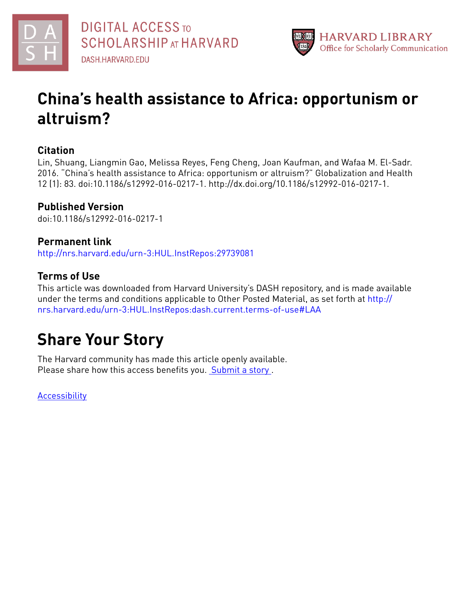



## **China's health assistance to Africa: opportunism or altruism?**

### **Citation**

Lin, Shuang, Liangmin Gao, Melissa Reyes, Feng Cheng, Joan Kaufman, and Wafaa M. El-Sadr. 2016. "China's health assistance to Africa: opportunism or altruism?" Globalization and Health 12 (1): 83. doi:10.1186/s12992-016-0217-1. http://dx.doi.org/10.1186/s12992-016-0217-1.

## **Published Version**

doi:10.1186/s12992-016-0217-1

### **Permanent link**

<http://nrs.harvard.edu/urn-3:HUL.InstRepos:29739081>

## **Terms of Use**

This article was downloaded from Harvard University's DASH repository, and is made available under the terms and conditions applicable to Other Posted Material, as set forth at [http://](http://nrs.harvard.edu/urn-3:HUL.InstRepos:dash.current.terms-of-use#LAA) [nrs.harvard.edu/urn-3:HUL.InstRepos:dash.current.terms-of-use#LAA](http://nrs.harvard.edu/urn-3:HUL.InstRepos:dash.current.terms-of-use#LAA)

# **Share Your Story**

The Harvard community has made this article openly available. Please share how this access benefits you. [Submit](http://osc.hul.harvard.edu/dash/open-access-feedback?handle=&title=China%E2%80%99s%20health%20assistance%20to%20Africa:%20opportunism%20or%20altruism?&community=1/4454685&collection=1/4454686&owningCollection1/4454686&harvardAuthors=fee0a17c236bc6a25214efdb3c5656b4&department) a story .

**[Accessibility](https://dash.harvard.edu/pages/accessibility)**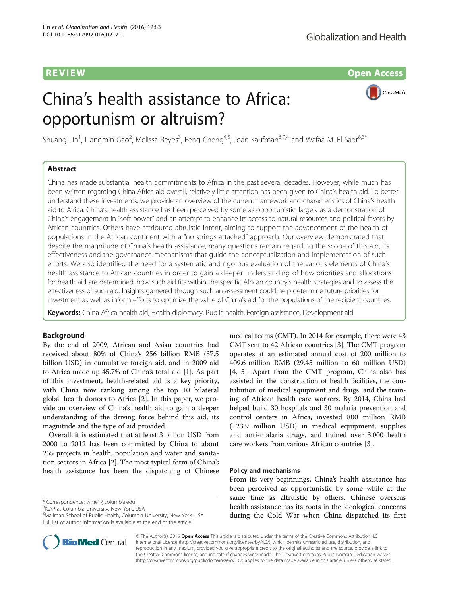R EVI EW Open Access

## China's health assistance to Africa: opportunism or altruism?



Shuang Lin<sup>1</sup>, Liangmin Gao<sup>2</sup>, Melissa Reyes<sup>3</sup>, Feng Cheng<sup>4,5</sup>, Joan Kaufman<sup>6,7,4</sup> and Wafaa M. El-Sadr<sup>8,3\*</sup>

#### Abstract

China has made substantial health commitments to Africa in the past several decades. However, while much has been written regarding China-Africa aid overall, relatively little attention has been given to China's health aid. To better understand these investments, we provide an overview of the current framework and characteristics of China's health aid to Africa. China's health assistance has been perceived by some as opportunistic, largely as a demonstration of China's engagement in "soft power" and an attempt to enhance its access to natural resources and political favors by African countries. Others have attributed altruistic intent, aiming to support the advancement of the health of populations in the African continent with a "no strings attached" approach. Our overview demonstrated that despite the magnitude of China's health assistance, many questions remain regarding the scope of this aid, its effectiveness and the governance mechanisms that guide the conceptualization and implementation of such efforts. We also identified the need for a systematic and rigorous evaluation of the various elements of China's health assistance to African countries in order to gain a deeper understanding of how priorities and allocations for health aid are determined, how such aid fits within the specific African country's health strategies and to assess the effectiveness of such aid. Insights garnered through such an assessment could help determine future priorities for investment as well as inform efforts to optimize the value of China's aid for the populations of the recipient countries.

Keywords: China-Africa health aid, Health diplomacy, Public health, Foreign assistance, Development aid

#### Background

By the end of 2009, African and Asian countries had received about 80% of China's 256 billion RMB (37.5 billion USD) in cumulative foreign aid, and in 2009 aid to Africa made up 45.7% of China's total aid [[1](#page-4-0)]. As part of this investment, health-related aid is a key priority, with China now ranking among the top 10 bilateral global health donors to Africa [\[2](#page-4-0)]. In this paper, we provide an overview of China's health aid to gain a deeper understanding of the driving force behind this aid, its magnitude and the type of aid provided.

Overall, it is estimated that at least 3 billion USD from 2000 to 2012 has been committed by China to about 255 projects in health, population and water and sanitation sectors in Africa [[2\]](#page-4-0). The most typical form of China's health assistance has been the dispatching of Chinese

\* Correspondence: [wme1@columbia.edu](mailto:wme1@columbia.edu) <sup>8</sup>

<sup>8</sup>ICAP at Columbia University, New York, USA

medical teams (CMT). In 2014 for example, there were 43 CMT sent to 42 African countries [\[3](#page-5-0)]. The CMT program operates at an estimated annual cost of 200 million to 409.6 million RMB (29.45 million to 60 million USD) [[4, 5\]](#page-5-0). Apart from the CMT program, China also has assisted in the construction of health facilities, the contribution of medical equipment and drugs, and the training of African health care workers. By 2014, China had helped build 30 hospitals and 30 malaria prevention and control centers in Africa, invested 800 million RMB (123.9 million USD) in medical equipment, supplies and anti-malaria drugs, and trained over 3,000 health care workers from various African countries [[3\]](#page-5-0).

#### Policy and mechanisms

From its very beginnings, China's health assistance has been perceived as opportunistic by some while at the same time as altruistic by others. Chinese overseas health assistance has its roots in the ideological concerns during the Cold War when China dispatched its first



© The Author(s). 2016 Open Access This article is distributed under the terms of the Creative Commons Attribution 4.0 International License [\(http://creativecommons.org/licenses/by/4.0/](http://creativecommons.org/licenses/by/4.0/)), which permits unrestricted use, distribution, and reproduction in any medium, provided you give appropriate credit to the original author(s) and the source, provide a link to the Creative Commons license, and indicate if changes were made. The Creative Commons Public Domain Dedication waiver [\(http://creativecommons.org/publicdomain/zero/1.0/](http://creativecommons.org/publicdomain/zero/1.0/)) applies to the data made available in this article, unless otherwise stated.

<sup>3</sup> Mailman School of Public Health, Columbia University, New York, USA Full list of author information is available at the end of the article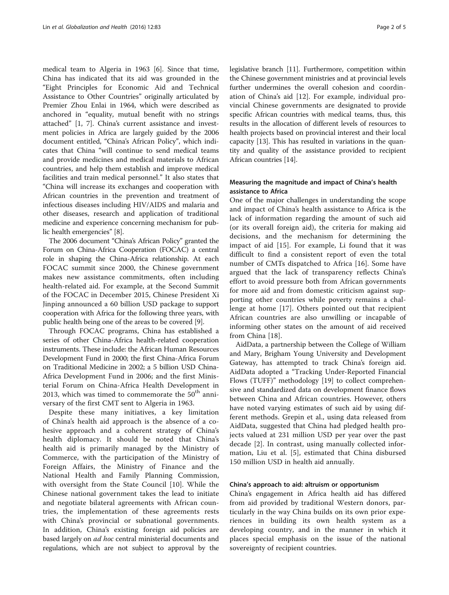medical team to Algeria in 1963 [[6\]](#page-5-0). Since that time, China has indicated that its aid was grounded in the "Eight Principles for Economic Aid and Technical Assistance to Other Countries" originally articulated by Premier Zhou Enlai in 1964, which were described as anchored in "equality, mutual benefit with no strings attached" [[1,](#page-4-0) [7\]](#page-5-0). China's current assistance and investment policies in Africa are largely guided by the 2006 document entitled, "China's African Policy", which indicates that China "will continue to send medical teams and provide medicines and medical materials to African countries, and help them establish and improve medical facilities and train medical personnel." It also states that "China will increase its exchanges and cooperation with African countries in the prevention and treatment of infectious diseases including HIV/AIDS and malaria and other diseases, research and application of traditional medicine and experience concerning mechanism for public health emergencies" [\[8](#page-5-0)].

The 2006 document "China's African Policy" granted the Forum on China-Africa Cooperation (FOCAC) a central role in shaping the China-Africa relationship. At each FOCAC summit since 2000, the Chinese government makes new assistance commitments, often including health-related aid. For example, at the Second Summit of the FOCAC in December 2015, Chinese President Xi Jinping announced a 60 billion USD package to support cooperation with Africa for the following three years, with public health being one of the areas to be covered [\[9](#page-5-0)].

Through FOCAC programs, China has established a series of other China-Africa health-related cooperation instruments. These include: the African Human Resources Development Fund in 2000; the first China-Africa Forum on Traditional Medicine in 2002; a 5 billion USD China-Africa Development Fund in 2006; and the first Ministerial Forum on China-Africa Health Development in 2013, which was timed to commemorate the  $50<sup>th</sup>$  anniversary of the first CMT sent to Algeria in 1963.

Despite these many initiatives, a key limitation of China's health aid approach is the absence of a cohesive approach and a coherent strategy of China's health diplomacy. It should be noted that China's health aid is primarily managed by the Ministry of Commerce, with the participation of the Ministry of Foreign Affairs, the Ministry of Finance and the National Health and Family Planning Commission, with oversight from the State Council [\[10](#page-5-0)]. While the Chinese national government takes the lead to initiate and negotiate bilateral agreements with African countries, the implementation of these agreements rests with China's provincial or subnational governments. In addition, China's existing foreign aid policies are based largely on ad hoc central ministerial documents and regulations, which are not subject to approval by the legislative branch [\[11\]](#page-5-0). Furthermore, competition within the Chinese government ministries and at provincial levels further undermines the overall cohesion and coordination of China's aid [\[12](#page-5-0)]. For example, individual provincial Chinese governments are designated to provide specific African countries with medical teams, thus, this results in the allocation of different levels of resources to health projects based on provincial interest and their local capacity [\[13](#page-5-0)]. This has resulted in variations in the quantity and quality of the assistance provided to recipient African countries [[14](#page-5-0)].

#### Measuring the magnitude and impact of China's health assistance to Africa

One of the major challenges in understanding the scope and impact of China's health assistance to Africa is the lack of information regarding the amount of such aid (or its overall foreign aid), the criteria for making aid decisions, and the mechanism for determining the impact of aid [\[15](#page-5-0)]. For example, Li found that it was difficult to find a consistent report of even the total number of CMTs dispatched to Africa [\[16](#page-5-0)]. Some have argued that the lack of transparency reflects China's effort to avoid pressure both from African governments for more aid and from domestic criticism against supporting other countries while poverty remains a challenge at home [[17](#page-5-0)]. Others pointed out that recipient African countries are also unwilling or incapable of informing other states on the amount of aid received from China [[18\]](#page-5-0).

AidData, a partnership between the College of William and Mary, Brigham Young University and Development Gateway, has attempted to track China's foreign aid. AidData adopted a "Tracking Under-Reported Financial Flows (TUFF)" methodology [[19\]](#page-5-0) to collect comprehensive and standardized data on development finance flows between China and African countries. However, others have noted varying estimates of such aid by using different methods. Grepin et al., using data released from AidData, suggested that China had pledged health projects valued at 231 million USD per year over the past decade [\[2](#page-4-0)]. In contrast, using manually collected information, Liu et al. [[5\]](#page-5-0), estimated that China disbursed 150 million USD in health aid annually.

#### China's approach to aid: altruism or opportunism

China's engagement in Africa health aid has differed from aid provided by traditional Western donors, particularly in the way China builds on its own prior experiences in building its own health system as a developing country, and in the manner in which it places special emphasis on the issue of the national sovereignty of recipient countries.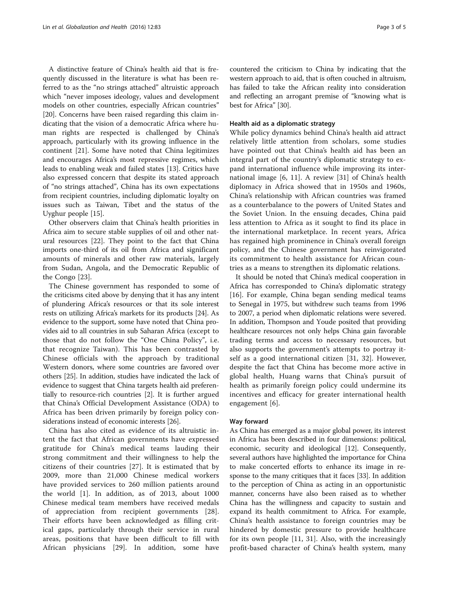A distinctive feature of China's health aid that is frequently discussed in the literature is what has been referred to as the "no strings attached" altruistic approach which "never imposes ideology, values and development models on other countries, especially African countries" [[20\]](#page-5-0). Concerns have been raised regarding this claim indicating that the vision of a democratic Africa where human rights are respected is challenged by China's approach, particularly with its growing influence in the continent [[21\]](#page-5-0). Some have noted that China legitimizes and encourages Africa's most repressive regimes, which leads to enabling weak and failed states [\[13\]](#page-5-0). Critics have also expressed concern that despite its stated approach of "no strings attached", China has its own expectations from recipient countries, including diplomatic loyalty on issues such as Taiwan, Tibet and the status of the Uyghur people [\[15\]](#page-5-0).

Other observers claim that China's health priorities in Africa aim to secure stable supplies of oil and other natural resources [[22\]](#page-5-0). They point to the fact that China imports one-third of its oil from Africa and significant amounts of minerals and other raw materials, largely from Sudan, Angola, and the Democratic Republic of the Congo [\[23](#page-5-0)].

The Chinese government has responded to some of the criticisms cited above by denying that it has any intent of plundering Africa's resources or that its sole interest rests on utilizing Africa's markets for its products [\[24\]](#page-5-0). As evidence to the support, some have noted that China provides aid to all countries in sub Saharan Africa (except to those that do not follow the "One China Policy", i.e. that recognize Taiwan). This has been contrasted by Chinese officials with the approach by traditional Western donors, where some countries are favored over others [[25\]](#page-5-0). In addition, studies have indicated the lack of evidence to suggest that China targets health aid preferentially to resource-rich countries [[2\]](#page-4-0). It is further argued that China's Official Development Assistance (ODA) to Africa has been driven primarily by foreign policy considerations instead of economic interests [[26](#page-5-0)].

China has also cited as evidence of its altruistic intent the fact that African governments have expressed gratitude for China's medical teams lauding their strong commitment and their willingness to help the citizens of their countries [[27\]](#page-5-0). It is estimated that by 2009, more than 21,000 Chinese medical workers have provided services to 260 million patients around the world [\[1](#page-4-0)]. In addition, as of 2013, about 1000 Chinese medical team members have received medals of appreciation from recipient governments [\[28](#page-5-0)]. Their efforts have been acknowledged as filling critical gaps, particularly through their service in rural areas, positions that have been difficult to fill with African physicians [[29\]](#page-5-0). In addition, some have

countered the criticism to China by indicating that the western approach to aid, that is often couched in altruism, has failed to take the African reality into consideration and reflecting an arrogant premise of "knowing what is best for Africa" [\[30\]](#page-5-0).

#### Health aid as a diplomatic strategy

While policy dynamics behind China's health aid attract relatively little attention from scholars, some studies have pointed out that China's health aid has been an integral part of the country's diplomatic strategy to expand international influence while improving its international image [\[6](#page-5-0), [11](#page-5-0)]. A review [[31](#page-5-0)] of China's health diplomacy in Africa showed that in 1950s and 1960s, China's relationship with African countries was framed as a counterbalance to the powers of United States and the Soviet Union. In the ensuing decades, China paid less attention to Africa as it sought to find its place in the international marketplace. In recent years, Africa has regained high prominence in China's overall foreign policy, and the Chinese government has reinvigorated its commitment to health assistance for African countries as a means to strengthen its diplomatic relations.

It should be noted that China's medical cooperation in Africa has corresponded to China's diplomatic strategy [[16\]](#page-5-0). For example, China began sending medical teams to Senegal in 1975, but withdrew such teams from 1996 to 2007, a period when diplomatic relations were severed. In addition, Thompson and Youde posited that providing healthcare resources not only helps China gain favorable trading terms and access to necessary resources, but also supports the government's attempts to portray itself as a good international citizen [\[31](#page-5-0), [32\]](#page-5-0). However, despite the fact that China has become more active in global health, Huang warns that China's pursuit of health as primarily foreign policy could undermine its incentives and efficacy for greater international health engagement [[6](#page-5-0)].

#### Way forward

As China has emerged as a major global power, its interest in Africa has been described in four dimensions: political, economic, security and ideological [\[12\]](#page-5-0). Consequently, several authors have highlighted the importance for China to make concerted efforts to enhance its image in response to the many critiques that it faces [\[33\]](#page-5-0). In addition to the perception of China as acting in an opportunistic manner, concerns have also been raised as to whether China has the willingness and capacity to sustain and expand its health commitment to Africa. For example, China's health assistance to foreign countries may be hindered by domestic pressure to provide healthcare for its own people [[11](#page-5-0), [31](#page-5-0)]. Also, with the increasingly profit-based character of China's health system, many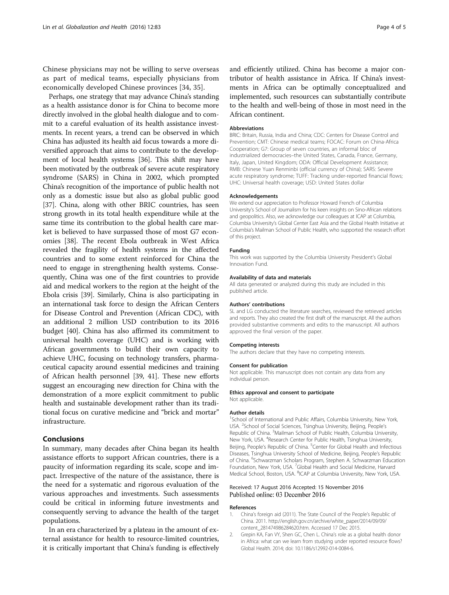<span id="page-4-0"></span>Chinese physicians may not be willing to serve overseas as part of medical teams, especially physicians from economically developed Chinese provinces [\[34](#page-5-0), [35\]](#page-5-0).

Perhaps, one strategy that may advance China's standing as a health assistance donor is for China to become more directly involved in the global health dialogue and to commit to a careful evaluation of its health assistance investments. In recent years, a trend can be observed in which China has adjusted its health aid focus towards a more diversified approach that aims to contribute to the development of local health systems [[36](#page-5-0)]. This shift may have been motivated by the outbreak of severe acute respiratory syndrome (SARS) in China in 2002, which prompted China's recognition of the importance of public health not only as a domestic issue but also as global public good [[37](#page-5-0)]. China, along with other BRIC countries, has seen strong growth in its total health expenditure while at the same time its contribution to the global health care market is believed to have surpassed those of most G7 economies [\[38](#page-5-0)]. The recent Ebola outbreak in West Africa revealed the fragility of health systems in the affected countries and to some extent reinforced for China the need to engage in strengthening health systems. Consequently, China was one of the first countries to provide aid and medical workers to the region at the height of the Ebola crisis [\[39](#page-5-0)]. Similarly, China is also participating in an international task force to design the African Centers for Disease Control and Prevention (African CDC), with an additional 2 million USD contribution to its 2016 budget [\[40\]](#page-5-0). China has also affirmed its commitment to universal health coverage (UHC) and is working with African governments to build their own capacity to achieve UHC, focusing on technology transfers, pharmaceutical capacity around essential medicines and training of African health personnel [[39](#page-5-0), [41\]](#page-5-0). These new efforts suggest an encouraging new direction for China with the demonstration of a more explicit commitment to public health and sustainable development rather than its traditional focus on curative medicine and "brick and mortar" infrastructure.

#### Conclusions

In summary, many decades after China began its health assistance efforts to support African countries, there is a paucity of information regarding its scale, scope and impact. Irrespective of the nature of the assistance, there is the need for a systematic and rigorous evaluation of the various approaches and investments. Such assessments could be critical in informing future investments and consequently serving to advance the health of the target populations.

In an era characterized by a plateau in the amount of external assistance for health to resource-limited countries, it is critically important that China's funding is effectively and efficiently utilized. China has become a major contributor of health assistance in Africa. If China's investments in Africa can be optimally conceptualized and implemented, such resources can substantially contribute to the health and well-being of those in most need in the African continent.

#### Abbreviations

BRIC: Britain, Russia, India and China; CDC: Centers for Disease Control and Prevention; CMT: Chinese medical teams; FOCAC: Forum on China-Africa Cooperation; G7: Group of seven countries, an informal bloc of industrialized democracies–the United States, Canada, France, Germany, Italy, Japan, United Kingdom; ODA: Official Development Assistance; RMB: Chinese Yuan Renminbi (official currency of China); SARS: Severe acute respiratory syndrome; TUFF: Tracking under-reported financial flows; UHC: Universal health coverage; USD: United States dollar

#### Acknowledgements

We extend our appreciation to Professor Howard French of Columbia University's School of Journalism for his keen insights on Sino-African relations and geopolitics. Also, we acknowledge our colleagues at ICAP at Columbia, Columbia University's Global Center East Asia and the Global Health Initiative at Columbia's Mailman School of Public Health, who supported the research effort of this project.

#### Funding

This work was supported by the Columbia University President's Global Innovation Fund.

#### Availability of data and materials

All data generated or analyzed during this study are included in this published article.

#### Authors' contributions

SL and LG conducted the literature searches, reviewed the retrieved articles and reports. They also created the first draft of the manuscript. All the authors provided substantive comments and edits to the manuscript. All authors approved the final version of the paper.

#### Competing interests

The authors declare that they have no competing interests.

#### Consent for publication

Not applicable. This manuscript does not contain any data from any individual person.

#### Ethics approval and consent to participate

Not applicable.

#### Author details

<sup>1</sup>School of International and Public Affairs, Columbia University, New York USA. <sup>2</sup>School of Social Sciences, Tsinghua University, Beijing, People's Republic of China. <sup>3</sup> Mailman School of Public Health, Columbia University, New York, USA. <sup>4</sup>Research Center for Public Health, Tsinghua University, Beijing, People's Republic of China. <sup>5</sup>Center for Global Health and Infectious Diseases, Tsinghua University School of Medicine, Beijing, People's Republic of China. <sup>6</sup>Schwarzman Scholars Program, Stephen A. Schwarzman Education Foundation, New York, USA. <sup>7</sup> Global Health and Social Medicine, Harvard Medical School, Boston, USA. <sup>8</sup>ICAP at Columbia University, New York, USA

#### Received: 17 August 2016 Accepted: 15 November 2016 Published online: 03 December 2016

#### References

- 1. China's foreign aid (2011). The State Council of the People's Republic of China. 2011. [http://english.gov.cn/archive/white\\_paper/2014/09/09/](http://english.gov.cn/archive/white_paper/2014/09/09/content_281474986284620.htm) [content\\_281474986284620.htm.](http://english.gov.cn/archive/white_paper/2014/09/09/content_281474986284620.htm) Accessed 17 Dec 2015.
- 2. Grepin KA, Fan VY, Shen GC, Chen L. China's role as a global health donor in Africa: what can we learn from studying under reported resource flows? Global Health. 2014; doi: [10.1186/s12992-014-0084-6.](http://dx.doi.org/10.1186/s12992-014-0084-6)